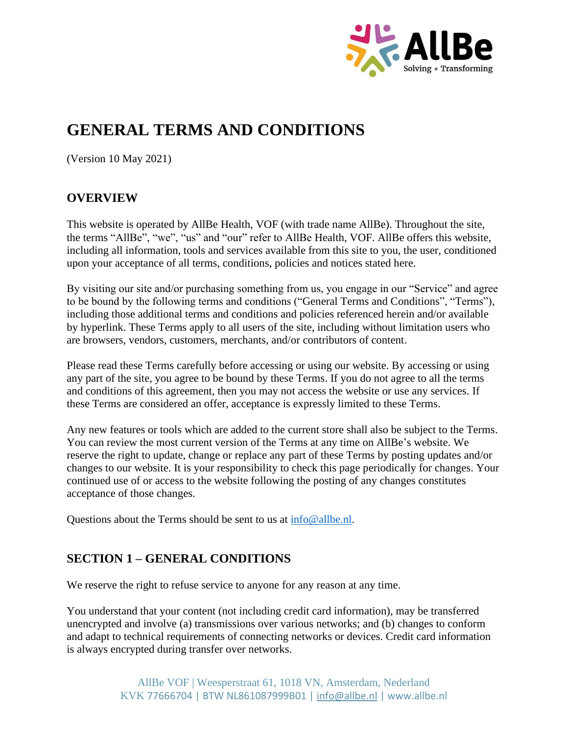

# **GENERAL TERMS AND CONDITIONS**

(Version 10 May 2021)

# **OVERVIEW**

This website is operated by AllBe Health, VOF (with trade name AllBe). Throughout the site, the terms "AllBe", "we", "us" and "our" refer to AllBe Health, VOF. AllBe offers this website, including all information, tools and services available from this site to you, the user, conditioned upon your acceptance of all terms, conditions, policies and notices stated here.

By visiting our site and/or purchasing something from us, you engage in our "Service" and agree to be bound by the following terms and conditions ("General Terms and Conditions", "Terms"), including those additional terms and conditions and policies referenced herein and/or available by hyperlink. These Terms apply to all users of the site, including without limitation users who are browsers, vendors, customers, merchants, and/or contributors of content.

Please read these Terms carefully before accessing or using our website. By accessing or using any part of the site, you agree to be bound by these Terms. If you do not agree to all the terms and conditions of this agreement, then you may not access the website or use any services. If these Terms are considered an offer, acceptance is expressly limited to these Terms.

Any new features or tools which are added to the current store shall also be subject to the Terms. You can review the most current version of the Terms at any time on AllBe's website. We reserve the right to update, change or replace any part of these Terms by posting updates and/or changes to our website. It is your responsibility to check this page periodically for changes. Your continued use of or access to the website following the posting of any changes constitutes acceptance of those changes.

Questions about the Terms should be sent to us at [info@allbe.nl.](mailto:info@allbe.nl)

# **SECTION 1 – GENERAL CONDITIONS**

We reserve the right to refuse service to anyone for any reason at any time.

You understand that your content (not including credit card information), may be transferred unencrypted and involve (a) transmissions over various networks; and (b) changes to conform and adapt to technical requirements of connecting networks or devices. Credit card information is always encrypted during transfer over networks.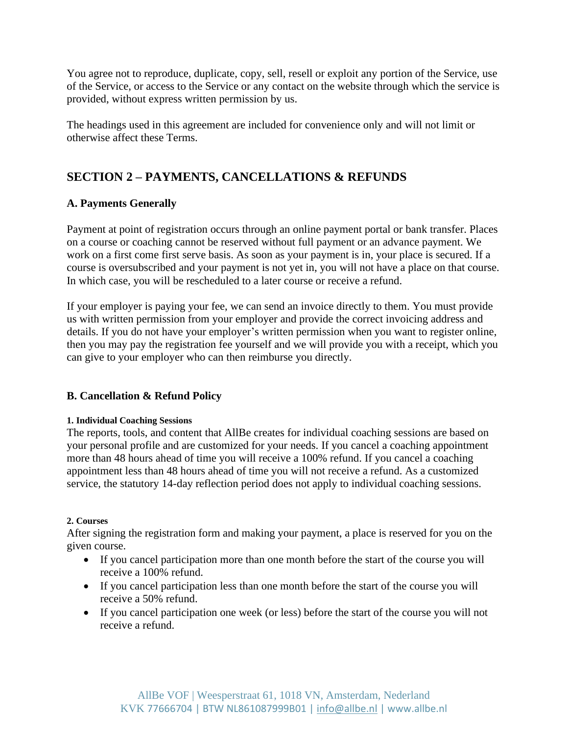You agree not to reproduce, duplicate, copy, sell, resell or exploit any portion of the Service, use of the Service, or access to the Service or any contact on the website through which the service is provided, without express written permission by us.

The headings used in this agreement are included for convenience only and will not limit or otherwise affect these Terms.

# **SECTION 2 – PAYMENTS, CANCELLATIONS & REFUNDS**

#### **A. Payments Generally**

Payment at point of registration occurs through an online payment portal or bank transfer. Places on a course or coaching cannot be reserved without full payment or an advance payment. We work on a first come first serve basis. As soon as your payment is in, your place is secured. If a course is oversubscribed and your payment is not yet in, you will not have a place on that course. In which case, you will be rescheduled to a later course or receive a refund.

If your employer is paying your fee, we can send an invoice directly to them. You must provide us with written permission from your employer and provide the correct invoicing address and details. If you do not have your employer's written permission when you want to register online, then you may pay the registration fee yourself and we will provide you with a receipt, which you can give to your employer who can then reimburse you directly.

#### **B. Cancellation & Refund Policy**

#### **1. Individual Coaching Sessions**

The reports, tools, and content that AllBe creates for individual coaching sessions are based on your personal profile and are customized for your needs. If you cancel a coaching appointment more than 48 hours ahead of time you will receive a 100% refund. If you cancel a coaching appointment less than 48 hours ahead of time you will not receive a refund. As a customized service, the statutory 14-day reflection period does not apply to individual coaching sessions.

#### **2. Courses**

After signing the registration form and making your payment, a place is reserved for you on the given course.

- If you cancel participation more than one month before the start of the course you will receive a 100% refund.
- If you cancel participation less than one month before the start of the course you will receive a 50% refund.
- If you cancel participation one week (or less) before the start of the course you will not receive a refund.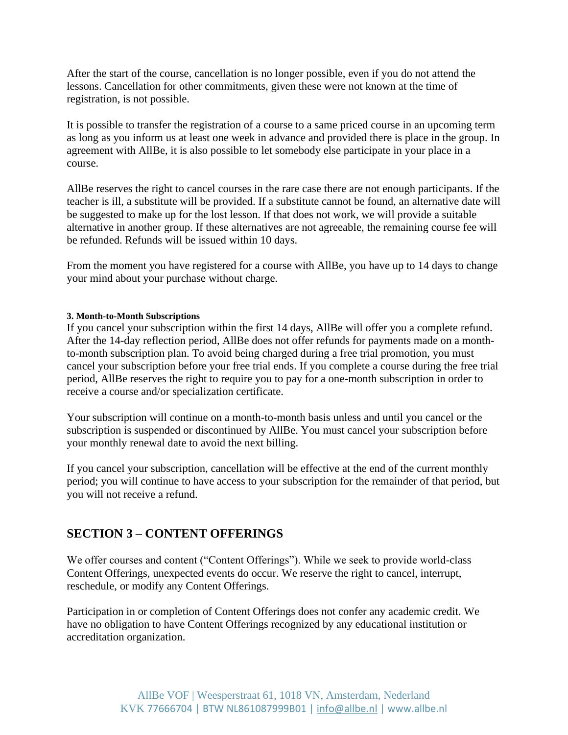After the start of the course, cancellation is no longer possible, even if you do not attend the lessons. Cancellation for other commitments, given these were not known at the time of registration, is not possible.

It is possible to transfer the registration of a course to a same priced course in an upcoming term as long as you inform us at least one week in advance and provided there is place in the group. In agreement with AllBe, it is also possible to let somebody else participate in your place in a course.

AllBe reserves the right to cancel courses in the rare case there are not enough participants. If the teacher is ill, a substitute will be provided. If a substitute cannot be found, an alternative date will be suggested to make up for the lost lesson. If that does not work, we will provide a suitable alternative in another group. If these alternatives are not agreeable, the remaining course fee will be refunded. Refunds will be issued within 10 days.

From the moment you have registered for a course with AllBe, you have up to 14 days to change your mind about your purchase without charge.

#### **3. Month-to-Month Subscriptions**

If you cancel your subscription within the first 14 days, AllBe will offer you a complete refund. After the 14-day reflection period, AllBe does not offer refunds for payments made on a monthto-month subscription plan. To avoid being charged during a free trial promotion, you must cancel your subscription before your free trial ends. If you complete a course during the free trial period, AllBe reserves the right to require you to pay for a one-month subscription in order to receive a course and/or specialization certificate.

Your subscription will continue on a month-to-month basis unless and until you cancel or the subscription is suspended or discontinued by AllBe. You must cancel your subscription before your monthly renewal date to avoid the next billing.

If you cancel your subscription, cancellation will be effective at the end of the current monthly period; you will continue to have access to your subscription for the remainder of that period, but you will not receive a refund.

#### **SECTION 3 – CONTENT OFFERINGS**

We offer courses and content ("Content Offerings"). While we seek to provide world-class Content Offerings, unexpected events do occur. We reserve the right to cancel, interrupt, reschedule, or modify any Content Offerings.

Participation in or completion of Content Offerings does not confer any academic credit. We have no obligation to have Content Offerings recognized by any educational institution or accreditation organization.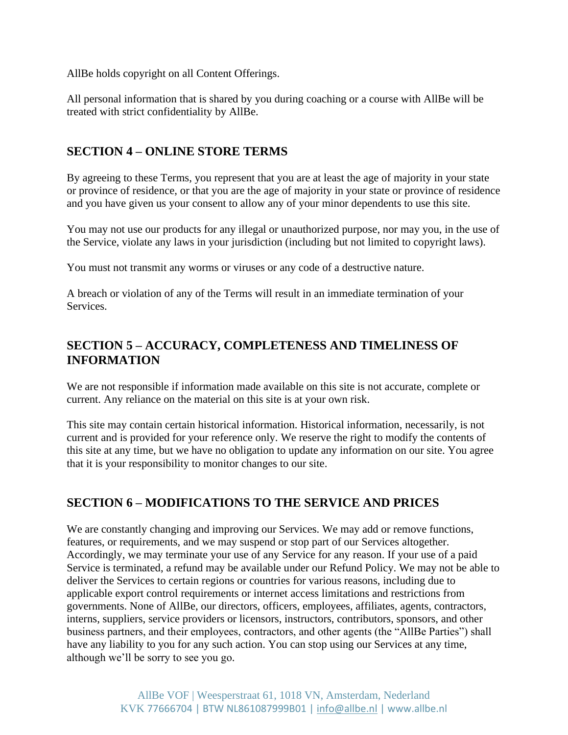AllBe holds copyright on all Content Offerings.

All personal information that is shared by you during coaching or a course with AllBe will be treated with strict confidentiality by AllBe.

#### **SECTION 4 – ONLINE STORE TERMS**

By agreeing to these Terms, you represent that you are at least the age of majority in your state or province of residence, or that you are the age of majority in your state or province of residence and you have given us your consent to allow any of your minor dependents to use this site.

You may not use our products for any illegal or unauthorized purpose, nor may you, in the use of the Service, violate any laws in your jurisdiction (including but not limited to copyright laws).

You must not transmit any worms or viruses or any code of a destructive nature.

A breach or violation of any of the Terms will result in an immediate termination of your Services.

# **SECTION 5 – ACCURACY, COMPLETENESS AND TIMELINESS OF INFORMATION**

We are not responsible if information made available on this site is not accurate, complete or current. Any reliance on the material on this site is at your own risk.

This site may contain certain historical information. Historical information, necessarily, is not current and is provided for your reference only. We reserve the right to modify the contents of this site at any time, but we have no obligation to update any information on our site. You agree that it is your responsibility to monitor changes to our site.

#### **SECTION 6 – MODIFICATIONS TO THE SERVICE AND PRICES**

We are constantly changing and improving our Services. We may add or remove functions, features, or requirements, and we may suspend or stop part of our Services altogether. Accordingly, we may terminate your use of any Service for any reason. If your use of a paid Service is terminated, a refund may be available under our Refund Policy. We may not be able to deliver the Services to certain regions or countries for various reasons, including due to applicable export control requirements or internet access limitations and restrictions from governments. None of AllBe, our directors, officers, employees, affiliates, agents, contractors, interns, suppliers, service providers or licensors, instructors, contributors, sponsors, and other business partners, and their employees, contractors, and other agents (the "AllBe Parties") shall have any liability to you for any such action. You can stop using our Services at any time, although we'll be sorry to see you go.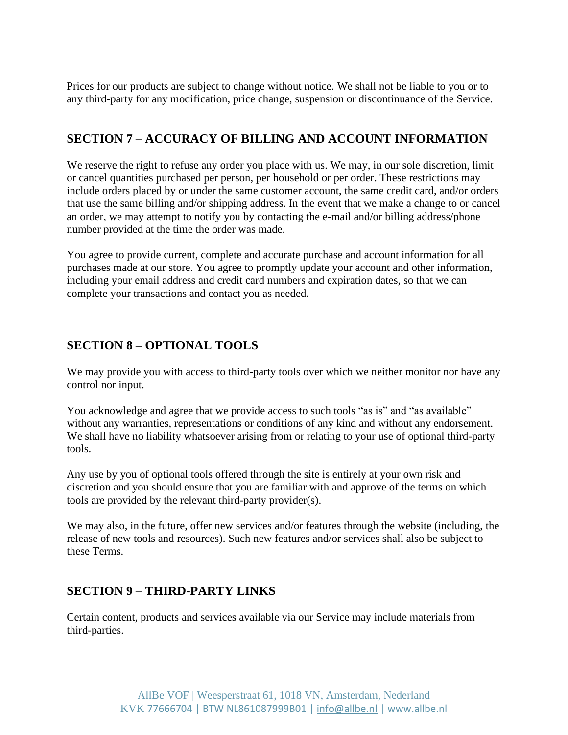Prices for our products are subject to change without notice. We shall not be liable to you or to any third-party for any modification, price change, suspension or discontinuance of the Service.

# **SECTION 7 – ACCURACY OF BILLING AND ACCOUNT INFORMATION**

We reserve the right to refuse any order you place with us. We may, in our sole discretion, limit or cancel quantities purchased per person, per household or per order. These restrictions may include orders placed by or under the same customer account, the same credit card, and/or orders that use the same billing and/or shipping address. In the event that we make a change to or cancel an order, we may attempt to notify you by contacting the e-mail and/or billing address/phone number provided at the time the order was made.

You agree to provide current, complete and accurate purchase and account information for all purchases made at our store. You agree to promptly update your account and other information, including your email address and credit card numbers and expiration dates, so that we can complete your transactions and contact you as needed.

# **SECTION 8 – OPTIONAL TOOLS**

We may provide you with access to third-party tools over which we neither monitor nor have any control nor input.

You acknowledge and agree that we provide access to such tools "as is" and "as available" without any warranties, representations or conditions of any kind and without any endorsement. We shall have no liability whatsoever arising from or relating to your use of optional third-party tools.

Any use by you of optional tools offered through the site is entirely at your own risk and discretion and you should ensure that you are familiar with and approve of the terms on which tools are provided by the relevant third-party provider(s).

We may also, in the future, offer new services and/or features through the website (including, the release of new tools and resources). Such new features and/or services shall also be subject to these Terms.

# **SECTION 9 – THIRD-PARTY LINKS**

Certain content, products and services available via our Service may include materials from third-parties.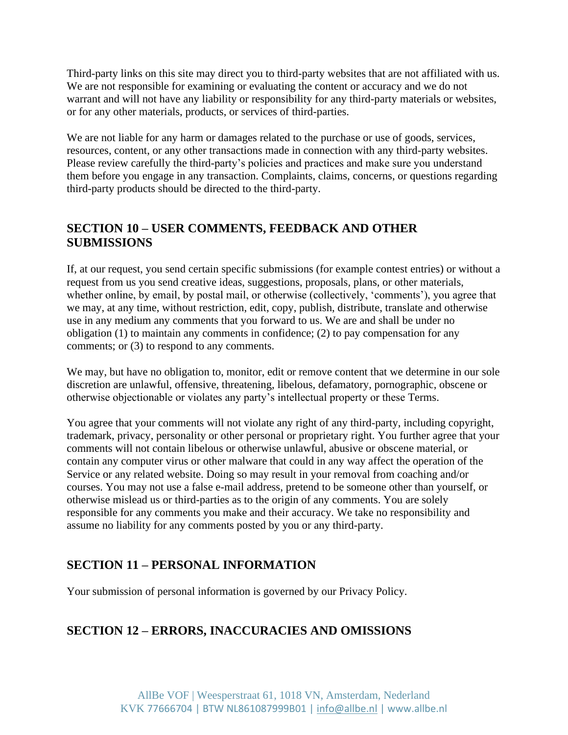Third-party links on this site may direct you to third-party websites that are not affiliated with us. We are not responsible for examining or evaluating the content or accuracy and we do not warrant and will not have any liability or responsibility for any third-party materials or websites, or for any other materials, products, or services of third-parties.

We are not liable for any harm or damages related to the purchase or use of goods, services, resources, content, or any other transactions made in connection with any third-party websites. Please review carefully the third-party's policies and practices and make sure you understand them before you engage in any transaction. Complaints, claims, concerns, or questions regarding third-party products should be directed to the third-party.

# **SECTION 10 – USER COMMENTS, FEEDBACK AND OTHER SUBMISSIONS**

If, at our request, you send certain specific submissions (for example contest entries) or without a request from us you send creative ideas, suggestions, proposals, plans, or other materials, whether online, by email, by postal mail, or otherwise (collectively, 'comments'), you agree that we may, at any time, without restriction, edit, copy, publish, distribute, translate and otherwise use in any medium any comments that you forward to us. We are and shall be under no obligation (1) to maintain any comments in confidence; (2) to pay compensation for any comments; or (3) to respond to any comments.

We may, but have no obligation to, monitor, edit or remove content that we determine in our sole discretion are unlawful, offensive, threatening, libelous, defamatory, pornographic, obscene or otherwise objectionable or violates any party's intellectual property or these Terms.

You agree that your comments will not violate any right of any third-party, including copyright, trademark, privacy, personality or other personal or proprietary right. You further agree that your comments will not contain libelous or otherwise unlawful, abusive or obscene material, or contain any computer virus or other malware that could in any way affect the operation of the Service or any related website. Doing so may result in your removal from coaching and/or courses. You may not use a false e-mail address, pretend to be someone other than yourself, or otherwise mislead us or third-parties as to the origin of any comments. You are solely responsible for any comments you make and their accuracy. We take no responsibility and assume no liability for any comments posted by you or any third-party.

# **SECTION 11 – PERSONAL INFORMATION**

Your submission of personal information is governed by our Privacy Policy.

# **SECTION 12 – ERRORS, INACCURACIES AND OMISSIONS**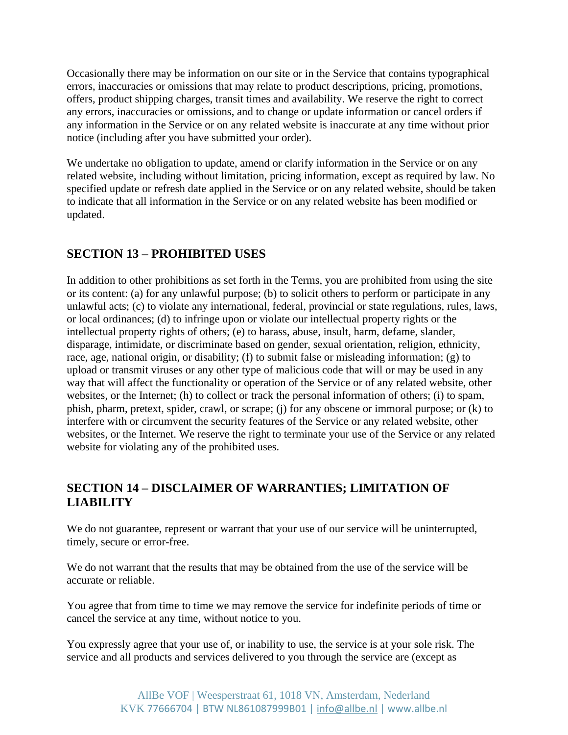Occasionally there may be information on our site or in the Service that contains typographical errors, inaccuracies or omissions that may relate to product descriptions, pricing, promotions, offers, product shipping charges, transit times and availability. We reserve the right to correct any errors, inaccuracies or omissions, and to change or update information or cancel orders if any information in the Service or on any related website is inaccurate at any time without prior notice (including after you have submitted your order).

We undertake no obligation to update, amend or clarify information in the Service or on any related website, including without limitation, pricing information, except as required by law. No specified update or refresh date applied in the Service or on any related website, should be taken to indicate that all information in the Service or on any related website has been modified or updated.

#### **SECTION 13 – PROHIBITED USES**

In addition to other prohibitions as set forth in the Terms, you are prohibited from using the site or its content: (a) for any unlawful purpose; (b) to solicit others to perform or participate in any unlawful acts; (c) to violate any international, federal, provincial or state regulations, rules, laws, or local ordinances; (d) to infringe upon or violate our intellectual property rights or the intellectual property rights of others; (e) to harass, abuse, insult, harm, defame, slander, disparage, intimidate, or discriminate based on gender, sexual orientation, religion, ethnicity, race, age, national origin, or disability; (f) to submit false or misleading information; (g) to upload or transmit viruses or any other type of malicious code that will or may be used in any way that will affect the functionality or operation of the Service or of any related website, other websites, or the Internet; (h) to collect or track the personal information of others; (i) to spam, phish, pharm, pretext, spider, crawl, or scrape; (j) for any obscene or immoral purpose; or (k) to interfere with or circumvent the security features of the Service or any related website, other websites, or the Internet. We reserve the right to terminate your use of the Service or any related website for violating any of the prohibited uses.

#### **SECTION 14 – DISCLAIMER OF WARRANTIES; LIMITATION OF LIABILITY**

We do not guarantee, represent or warrant that your use of our service will be uninterrupted, timely, secure or error-free.

We do not warrant that the results that may be obtained from the use of the service will be accurate or reliable.

You agree that from time to time we may remove the service for indefinite periods of time or cancel the service at any time, without notice to you.

You expressly agree that your use of, or inability to use, the service is at your sole risk. The service and all products and services delivered to you through the service are (except as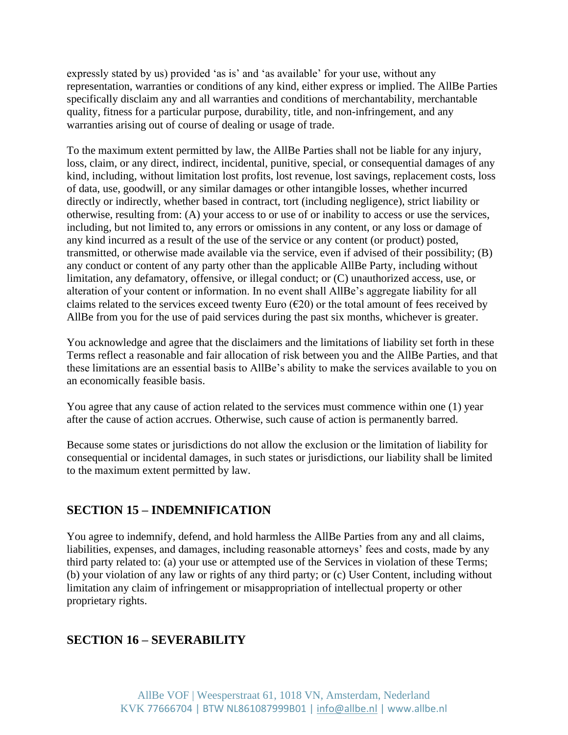expressly stated by us) provided 'as is' and 'as available' for your use, without any representation, warranties or conditions of any kind, either express or implied. The AllBe Parties specifically disclaim any and all warranties and conditions of merchantability, merchantable quality, fitness for a particular purpose, durability, title, and non-infringement, and any warranties arising out of course of dealing or usage of trade.

To the maximum extent permitted by law, the AllBe Parties shall not be liable for any injury, loss, claim, or any direct, indirect, incidental, punitive, special, or consequential damages of any kind, including, without limitation lost profits, lost revenue, lost savings, replacement costs, loss of data, use, goodwill, or any similar damages or other intangible losses, whether incurred directly or indirectly, whether based in contract, tort (including negligence), strict liability or otherwise, resulting from: (A) your access to or use of or inability to access or use the services, including, but not limited to, any errors or omissions in any content, or any loss or damage of any kind incurred as a result of the use of the service or any content (or product) posted, transmitted, or otherwise made available via the service, even if advised of their possibility; (B) any conduct or content of any party other than the applicable AllBe Party, including without limitation, any defamatory, offensive, or illegal conduct; or (C) unauthorized access, use, or alteration of your content or information. In no event shall AllBe's aggregate liability for all claims related to the services exceed twenty Euro ( $\epsilon$ 20) or the total amount of fees received by AllBe from you for the use of paid services during the past six months, whichever is greater.

You acknowledge and agree that the disclaimers and the limitations of liability set forth in these Terms reflect a reasonable and fair allocation of risk between you and the AllBe Parties, and that these limitations are an essential basis to AllBe's ability to make the services available to you on an economically feasible basis.

You agree that any cause of action related to the services must commence within one (1) year after the cause of action accrues. Otherwise, such cause of action is permanently barred.

Because some states or jurisdictions do not allow the exclusion or the limitation of liability for consequential or incidental damages, in such states or jurisdictions, our liability shall be limited to the maximum extent permitted by law.

#### **SECTION 15 – INDEMNIFICATION**

You agree to indemnify, defend, and hold harmless the AllBe Parties from any and all claims, liabilities, expenses, and damages, including reasonable attorneys' fees and costs, made by any third party related to: (a) your use or attempted use of the Services in violation of these Terms; (b) your violation of any law or rights of any third party; or (c) User Content, including without limitation any claim of infringement or misappropriation of intellectual property or other proprietary rights.

#### **SECTION 16 – SEVERABILITY**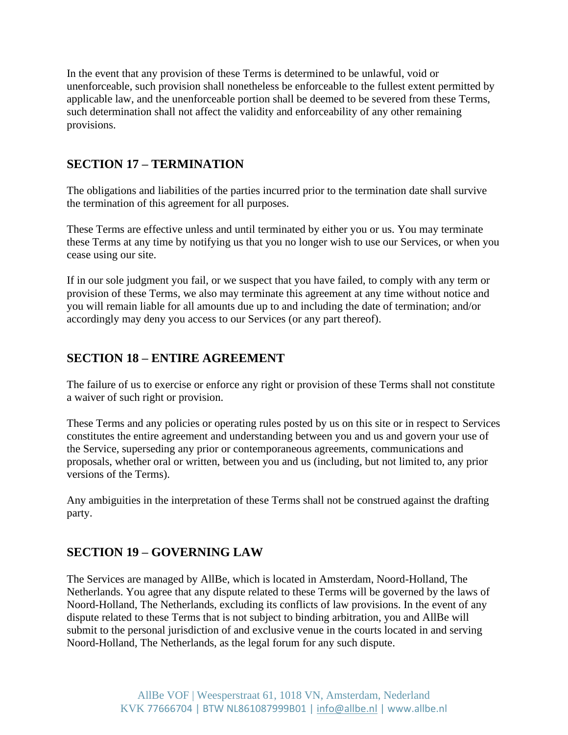In the event that any provision of these Terms is determined to be unlawful, void or unenforceable, such provision shall nonetheless be enforceable to the fullest extent permitted by applicable law, and the unenforceable portion shall be deemed to be severed from these Terms, such determination shall not affect the validity and enforceability of any other remaining provisions.

#### **SECTION 17 – TERMINATION**

The obligations and liabilities of the parties incurred prior to the termination date shall survive the termination of this agreement for all purposes.

These Terms are effective unless and until terminated by either you or us. You may terminate these Terms at any time by notifying us that you no longer wish to use our Services, or when you cease using our site.

If in our sole judgment you fail, or we suspect that you have failed, to comply with any term or provision of these Terms, we also may terminate this agreement at any time without notice and you will remain liable for all amounts due up to and including the date of termination; and/or accordingly may deny you access to our Services (or any part thereof).

#### **SECTION 18 – ENTIRE AGREEMENT**

The failure of us to exercise or enforce any right or provision of these Terms shall not constitute a waiver of such right or provision.

These Terms and any policies or operating rules posted by us on this site or in respect to Services constitutes the entire agreement and understanding between you and us and govern your use of the Service, superseding any prior or contemporaneous agreements, communications and proposals, whether oral or written, between you and us (including, but not limited to, any prior versions of the Terms).

Any ambiguities in the interpretation of these Terms shall not be construed against the drafting party.

# **SECTION 19 – GOVERNING LAW**

The Services are managed by AllBe, which is located in Amsterdam, Noord-Holland, The Netherlands. You agree that any dispute related to these Terms will be governed by the laws of Noord-Holland, The Netherlands, excluding its conflicts of law provisions. In the event of any dispute related to these Terms that is not subject to binding arbitration, you and AllBe will submit to the personal jurisdiction of and exclusive venue in the courts located in and serving Noord-Holland, The Netherlands, as the legal forum for any such dispute.